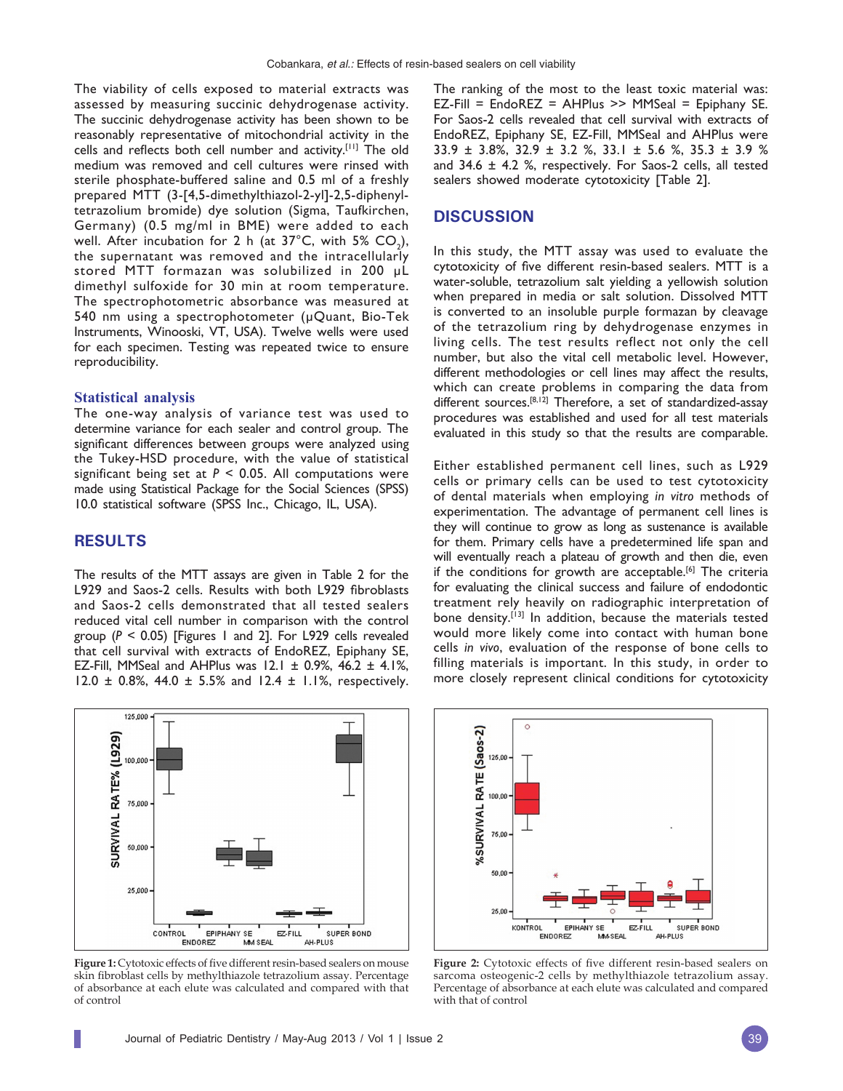The viability of cells exposed to material extracts was assessed by measuring succinic dehydrogenase activity. The succinic dehydrogenase activity has been shown to be reasonably representative of mitochondrial activity in the cells and reflects both cell number and activity.[11] The old medium was removed and cell cultures were rinsed with sterile phosphate-buffered saline and 0.5 ml of a freshly prepared MTT (3-[4,5-dimethylthiazol-2-yl]-2,5-diphenyltetrazolium bromide) dye solution (Sigma, Taufkirchen, Germany) (0.5 mg/ml in BME) were added to each well. After incubation for 2 h (at 37°C, with 5%  $CO<sub>2</sub>$ ), the supernatant was removed and the intracellularly stored MTT formazan was solubilized in 200 µL dimethyl sulfoxide for 30 min at room temperature. The spectrophotometric absorbance was measured at 540 nm using a spectrophotometer (µQuant, Bio-Tek Instruments, Winooski, VT, USA). Twelve wells were used for each specimen. Testing was repeated twice to ensure reproducibility.

## **Statistical analysis**

The one-way analysis of variance test was used to determine variance for each sealer and control group. The significant differences between groups were analyzed using the Tukey-HSD procedure, with the value of statistical significant being set at  $P < 0.05$ . All computations were made using Statistical Package for the Social Sciences (SPSS) 10.0 statistical software (SPSS Inc., Chicago, IL, USA).

## **RESULTS**

The results of the MTT assays are given in Table 2 for the L929 and Saos-2 cells. Results with both L929 fibroblasts and Saos-2 cells demonstrated that all tested sealers reduced vital cell number in comparison with the control group (*P* < 0.05) [Figures 1 and 2]. For L929 cells revealed that cell survival with extracts of EndoREZ, Epiphany SE, EZ-Fill, MMSeal and AHPlus was  $12.1 \pm 0.9$ %,  $46.2 \pm 4.1$ %, 12.0  $\pm$  0.8%, 44.0  $\pm$  5.5% and 12.4  $\pm$  1.1%, respectively.



**Figure 1:** Cytotoxic effects of five different resin-based sealers on mouse skin fibroblast cells by methylthiazole tetrazolium assay. Percentage of absorbance at each elute was calculated and compared with that of control

The ranking of the most to the least toxic material was: EZ-Fill = EndoREZ = AHPlus >> MMSeal = Epiphany SE. For Saos-2 cells revealed that cell survival with extracts of EndoREZ, Epiphany SE, EZ-Fill, MMSeal and AHPlus were 33.9 ± 3.8%, 32.9 ± 3.2 %, 33.1 ± 5.6 %, 35.3 ± 3.9 % and  $34.6 \pm 4.2$  %, respectively. For Saos-2 cells, all tested sealers showed moderate cytotoxicity [Table 2].

## **DISCUSSION**

In this study, the MTT assay was used to evaluate the cytotoxicity of five different resin-based sealers. MTT is a water-soluble, tetrazolium salt yielding a yellowish solution when prepared in media or salt solution. Dissolved MTT is converted to an insoluble purple formazan by cleavage of the tetrazolium ring by dehydrogenase enzymes in living cells. The test results reflect not only the cell number, but also the vital cell metabolic level. However, different methodologies or cell lines may affect the results, which can create problems in comparing the data from different sources.<sup>[8,12]</sup> Therefore, a set of standardized-assay procedures was established and used for all test materials evaluated in this study so that the results are comparable.

Either established permanent cell lines, such as L929 cells or primary cells can be used to test cytotoxicity of dental materials when employing *in vitro* methods of experimentation. The advantage of permanent cell lines is they will continue to grow as long as sustenance is available for them. Primary cells have a predetermined life span and will eventually reach a plateau of growth and then die, even if the conditions for growth are acceptable.<sup>[6]</sup> The criteria for evaluating the clinical success and failure of endodontic treatment rely heavily on radiographic interpretation of bone density.[13] In addition, because the materials tested would more likely come into contact with human bone cells *in vivo*, evaluation of the response of bone cells to filling materials is important. In this study, in order to more closely represent clinical conditions for cytotoxicity



**Figure 2:** Cytotoxic effects of five different resin-based sealers on sarcoma osteogenic-2 cells by methylthiazole tetrazolium assay. Percentage of absorbance at each elute was calculated and compared with that of control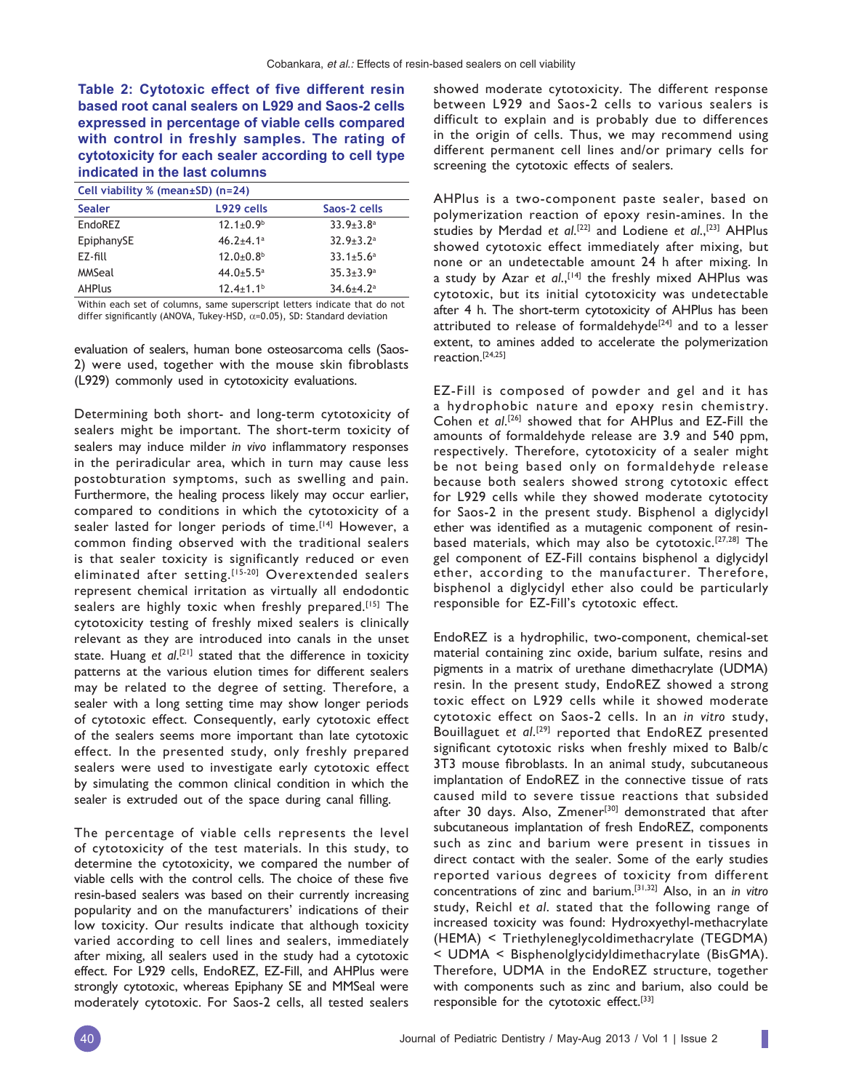**Table 2: Cytotoxic effect of five different resin based root canal sealers on L929 and Saos-2 cells expressed in percentage of viable cells compared with control in freshly samples. The rating of cytotoxicity for each sealer according to cell type indicated in the last columns**

| Cell viability % (mean $\pm$ SD) (n=24) |                             |                           |
|-----------------------------------------|-----------------------------|---------------------------|
| <b>Sealer</b>                           | L929 cells                  | Saos-2 cells              |
| EndoREZ                                 | $12.1 \pm 0.9$ <sup>b</sup> | $33.9 + 3.8$ <sup>a</sup> |
| EpiphanySE                              | $46.2 + 4.1$ <sup>a</sup>   | $32.9 + 3.2a$             |
| F7-fill                                 | $12.0 + 0.8$ <sup>b</sup>   | $33.1 + 5.6^a$            |
| MMSeal                                  | $44.0 + 5.5$ <sup>a</sup>   | $35.3 + 3.9^a$            |
| <b>AHPlus</b>                           | $12.4 \pm 1.1$ <sup>b</sup> | $34.6 + 4.2^a$            |
|                                         |                             |                           |

Within each set of columns, same superscript letters indicate that do not differ significantly (ANOVA, Tukey-HSD,  $\alpha$ =0.05), SD: Standard deviation

evaluation of sealers, human bone osteosarcoma cells (Saos-2) were used, together with the mouse skin fibroblasts (L929) commonly used in cytotoxicity evaluations.

Determining both short- and long-term cytotoxicity of sealers might be important. The short-term toxicity of sealers may induce milder *in vivo* inflammatory responses in the periradicular area, which in turn may cause less postobturation symptoms, such as swelling and pain. Furthermore, the healing process likely may occur earlier, compared to conditions in which the cytotoxicity of a sealer lasted for longer periods of time.<sup>[14]</sup> However, a common finding observed with the traditional sealers is that sealer toxicity is significantly reduced or even eliminated after setting.<sup>[15-20]</sup> Overextended sealers represent chemical irritation as virtually all endodontic sealers are highly toxic when freshly prepared.<sup>[15]</sup> The cytotoxicity testing of freshly mixed sealers is clinically relevant as they are introduced into canals in the unset state. Huang et al.<sup>[21]</sup> stated that the difference in toxicity patterns at the various elution times for different sealers may be related to the degree of setting. Therefore, a sealer with a long setting time may show longer periods of cytotoxic effect. Consequently, early cytotoxic effect of the sealers seems more important than late cytotoxic effect. In the presented study, only freshly prepared sealers were used to investigate early cytotoxic effect by simulating the common clinical condition in which the sealer is extruded out of the space during canal filling.

The percentage of viable cells represents the level of cytotoxicity of the test materials. In this study, to determine the cytotoxicity, we compared the number of viable cells with the control cells. The choice of these five resin-based sealers was based on their currently increasing popularity and on the manufacturers' indications of their low toxicity. Our results indicate that although toxicity varied according to cell lines and sealers, immediately after mixing, all sealers used in the study had a cytotoxic effect. For L929 cells, EndoREZ, EZ-Fill, and AHPlus were strongly cytotoxic, whereas Epiphany SE and MMSeal were moderately cytotoxic. For Saos-2 cells, all tested sealers

showed moderate cytotoxicity. The different response between L929 and Saos-2 cells to various sealers is difficult to explain and is probably due to differences in the origin of cells. Thus, we may recommend using different permanent cell lines and/or primary cells for screening the cytotoxic effects of sealers.

AHPlus is a two-component paste sealer, based on polymerization reaction of epoxy resin-amines. In the studies by Merdad *et al*. [22] and Lodiene *et al*.,[23] AHPlus showed cytotoxic effect immediately after mixing, but none or an undetectable amount 24 h after mixing. In a study by Azar et al.,<sup>[14]</sup> the freshly mixed AHPlus was cytotoxic, but its initial cytotoxicity was undetectable after 4 h. The short-term cytotoxicity of AHPlus has been attributed to release of formaldehyde<sup>[24]</sup> and to a lesser extent, to amines added to accelerate the polymerization reaction.[24,25]

EZ-Fill is composed of powder and gel and it has a hydrophobic nature and epoxy resin chemistry. Cohen et al.<sup>[26]</sup> showed that for AHPlus and EZ-Fill the amounts of formaldehyde release are 3.9 and 540 ppm, respectively. Therefore, cytotoxicity of a sealer might be not being based only on formaldehyde release because both sealers showed strong cytotoxic effect for L929 cells while they showed moderate cytotocity for Saos-2 in the present study. Bisphenol a diglycidyl ether was identified as a mutagenic component of resinbased materials, which may also be cytotoxic.[27,28] The gel component of EZ-Fill contains bisphenol a diglycidyl ether, according to the manufacturer. Therefore, bisphenol a diglycidyl ether also could be particularly responsible for EZ-Fill's cytotoxic effect.

EndoREZ is a hydrophilic, two-component, chemical-set material containing zinc oxide, barium sulfate, resins and pigments in a matrix of urethane dimethacrylate (UDMA) resin. In the present study, EndoREZ showed a strong toxic effect on L929 cells while it showed moderate cytotoxic effect on Saos-2 cells. In an *in vitro* study, Bouillaguet *et al*. [29] reported that EndoREZ presented significant cytotoxic risks when freshly mixed to Balb/c 3T3 mouse fibroblasts. In an animal study, subcutaneous implantation of EndoREZ in the connective tissue of rats caused mild to severe tissue reactions that subsided after 30 days. Also, Zmener<sup>[30]</sup> demonstrated that after subcutaneous implantation of fresh EndoREZ, components such as zinc and barium were present in tissues in direct contact with the sealer. Some of the early studies reported various degrees of toxicity from different concentrations of zinc and barium.[31,32] Also, in an *in vitro* study, Reichl *et al*. stated that the following range of increased toxicity was found: Hydroxyethyl-methacrylate (HEMA) < Triethyleneglycoldimethacrylate (TEGDMA) < UDMA < Bisphenolglycidyldimethacrylate (BisGMA). Therefore, UDMA in the EndoREZ structure, together with components such as zinc and barium, also could be responsible for the cytotoxic effect.<sup>[33]</sup>

ı